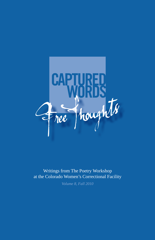

Writings from The Poetry Workshop at the Colorado Women's Correctional Facility

*Volume 8, Fall 2010*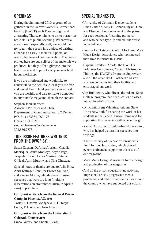# **Openings**

During the Summer of 2010, a group of us gathered in the Denver Women's Correctional Facility (DWCF) each Tuesday night and alternating Thursday nights to try to master the basic skills of public speaking. Whenever a speech went especially well, we would then try to turn the speech into a piece of writing, either as an essay, a memoir, a poem, or some other form of communication. The pieces printed here are but a sliver of the materials we produced, but they offer a glimpse into the heartbreaks and hopes of everyone involved in our workshop.

If you are imprisoned and would like to contribute to the next issue, or if you are free and would like to lend your assistance, or if you are wealthy and care to make a donation to our humble magazine, then please contact:

Stephen John Hartnett Associate Professor and Chair Department of Communication, UC Denver P.O. Box 173364, DC-176 Denver, CO 80217 stephen.hartnett@ucdenver.edu 303.556.2778

## **This issue features writings from the DWCF by:**

Susan Zalatan, DeAnna Albright, Claudia Manriquez, Anita Montoya, Sayde Page, Jacquelyn Bond, Laura Martinez, Stella O'Neal, April Murphy, and Tina Olmstead.

Special notes of thanks are due to Arlie Hiltz, April Kittinger, Jennifer Brown-Sullivan, and Pancea Morris, who delivered rousing speeches that were too long (multiple dissertations on environmentalism in April's case) to print here.

#### **Our guest writers from the Federal Prison Camp, in Phoenix, AZ, are:**

Twila D., Dharma McRyhew, J.H., Tanya Cerda, T. Davis, and Erin Ahearn.

**Our guest writers from the University of Colorado Denver are:** Linda Guthrie and Shontel Lewis.

# **Special thanks to:**

- • University of Colorado Denver students Linda Guthrie, Amy O'Connell, Ryan Dubiel, and Elisabeth Long who went to the prison for each session as "learning partners," and who helped type up and edit the works included here.
- • Former UCD student Caitlin Mock and Mark Mock Design Associates, who volunteered their time to format this issue.
- • Captain Kathleen Arnold, the DWCF's Volunteer Coordinator; Captain Christopher Phillips, the DWCF's Programs Supervisor; and all the other DWCF officers and staff who welcomed us into their facility and encouraged our work.
- • Jim Bullington, who directs the Adams State College program than sends college classes into Colorado's prisons.
- • Dr. Kristin Berg Valentine, Arizona State University, both for sharing the work of her students in the Federal Prison Camp and for supporting this magazine with a generous gift.
- • Rachel Amaru, our Boulder-based star editor, who has helped us turn our speeches into writings.
- • The University of Colorado's President's Fund for the Humanities, which offered generous financial support to this issue of our magazine.
- • Mark Mock Design Associates for the design and production of our magazine.
- • And all the prison educators and activists, imprisoned artists, progressive media producers, and other friends and allies around the country who have supported our efforts.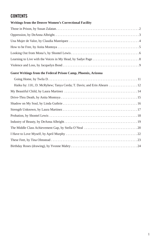# **CONTENTs**

#### **Writings from the Denver Women's Correctional Facility**

## **Guest Writings from the Federal Prison Camp, Phoenix, Arizona**

| Haiku by: J.H.; D. McRyhew; Tanya Cerda; T. Davis; and Erin Ahearn 12 |
|-----------------------------------------------------------------------|
|                                                                       |
|                                                                       |
|                                                                       |
|                                                                       |
|                                                                       |
|                                                                       |
|                                                                       |
|                                                                       |
|                                                                       |
|                                                                       |
|                                                                       |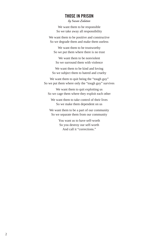## **Those in Prison**

by Susan Zalatan

We want them to be responsible So we take away all responsibility

We want them to be positive and constructive So we degrade them and make them useless

We want them to be trustworthy So we put them where there is no trust

We want them to be nonviolent So we surround them with violence

We want them to be kind and loving So we subject them to hatred and cruelty

We want them to quit being the "tough guy" So we put them where only the "tough guy" survives

We want them to quit exploiting us So we cage them where they exploit each other

We want them to take control of their lives So we make them dependent on us

We want them to be a part of our community So we separate them from our community

> You want us to have self-worth So you destroy our self-worth And call it "corrections."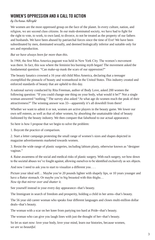# **Women's Oppression and a Call to Action**

#### by DeAnna Albright

We women are the most oppressed group on the face of the planet. In every culture, nation, and religion, we are second class citizens. In our male-dominated society, we have had to fight for the right to vote, to work, to own land, to divorce, to not be treated as the property of our fathers and husbands. We have been abused by patriarchal forces since the time of Eve! We have been subordinated by men, dominated sexually, and deemed biologically inferior and suitable only for sex and reproduction.

#### *But we have always been far more than this.*

In 1968, the first Miss America pageant was held in New York City. The women's movement was there. In fact, this was where the feminist bra burning myth began! The movement asked the fundamental question: "Can make-up mask the scars of our oppression?"

The beauty fanatics crowned a 16 year old child Miss America, declaring that a teenager exemplified the pinnacle of beauty and womanhood in the United States. This industry created and enforced standards of beauty that are upheld to this day.

A national survey conducted by Rita Freeman, author of Body Love, asked 200 women the following question: "If you could change one thing on your body, what would it be?" Not a single woman answered "nothing." The survey also asked "At what age do women reach the peak of their attractiveness?" The winning answer was 33—apparently it's all downhill from there!

Whether we want to admit it or not, women are active players in the beauty game. We lower our own self esteem, as well as that of other women, by absorbing the unattainable ideal of beauty fashioned by the beauty industry. We then compare that falsehood to our actual appearance.

So here is how I propose that we begin to solve the problem:

1. Boycott the practice of comparison.

2. Start a letter campaign protesting the small range of women's sizes and shapes depicted in magazine advertisements marketed towards women.

3. Resist the wide range of plastic surgeries, including labium plasty, otherwise known as "designer vaginas."

4. Raise awareness of the social and medical risks of plastic surgery. With each surgery, we bow down to the societal abuses we've fought against, allowing ourselvesto be identified exclusively assex objects.

And now I need to ask you to start to visualize a different you . . .

Picture your ideal self… Maybe you're 20 pounds lighter with shapely lips, or 10 years younger and have a flatter stomach. Or maybe you're big breasted with thin thighs... *Now tip that mirror over and shatter it.* 

See yourself instead in your every day appearance--that's beauty.

The Immigrant in search of freedom and prosperity, holding a child in her arms--that's beauty.

The 56 year old career woman who speaks four different languages and closes multi-million dollar deals--that's beauty.

The woman with a scar on her knee from partying too hard at Pride--that's beauty.

The woman who can give you laugh lines with just the thought of her--that's beauty.

So let us start now: love your body, love your mind, learn our histories, because women, *we are so beautiful.*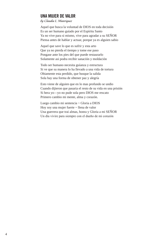## **Una Mujer de Valor**

by Claudia L. Manriquez

Aquel que busca la voluntad de DIOS en toda decisión Es un ser humano guíado por el Espíritu Santo Ya no vive para si mismo, vive para agradar a su SEÑOR Piensa antes de hablar y actuar, porque ya es alguien sabio

Aquel que save lo que es sufrir y esta arto Que ya no pierda el tiempo y tome ese paso Pongase ante los pies del que puede restaurarlo Solamente asi podra recibir sanación y moldación

Todo ser humano necesita guíanza y estructura Si ve que su manera lo ha llevado a una vida de tortura Obiamente esta perdido, que busque la salida Sola hay una forma de obtener paz y alegría

Esto viene de alguien que en lo mas profundo se undio Cuando dijieron que pasaria el resto de su vida en una prisión Si hera yo—yo no pude sola pero DIOS me rescato Primero cambio mi mente, alma y corazón.

Luego cambio mi sentencia ~ Gloria a DIOS Hoy soy una mujer fuerte ~ llena de valor Una guerrera que trai almas, honra y Gloria a mi SEÑOR Un día vivire para siempre con el dueňo de mi corazón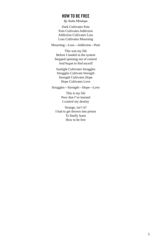## **How to be Free**

by Anita Montoya

Dark Cultivates Pain Pain Cultivates Addiction Addiction Cultivates Loss Loss Cultivates Mourning

Mourning—Loss—Addiction—Pain

This was my life Before I landed in the system Stopped spinning out of control And began to find myself

Sunlight Cultivates Struggles Struggles Cultivate Strength Strength Cultivates Hope Hope Cultivates Love

Struggles—Strength—Hope—Love

This is my life Now that I've learned I control my destiny

Strange, isn't it? I had to get thrown into prison To finally learn How to be free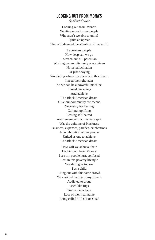## **Looking Out from Mona's**

by Shontel Lewis

Looking out from Mona's Wanting more for my people Why aren't we able to unite? Ignite an uproar That will demand the attention of the world

I adore my people How deep can we go To reach our full potential? Wishing community unity was a given Not a hallucination Or just a saying Wondering where my place is in this dream I need the right team So we can be a powerful machine Spread our wings And achieve The Black American dream Give our community the means Necessary for healing Cultural uplifting Erasing self-hatred And remember that this very spot Was the epitome of blackness Business, expenses, parades, celebrations A collaboration of our people United as one to achieve The Black American dream

> How will we achieve that? Looking out from Mona's I see my people hurt, confused Lost in this poverty lifestyle Wondering as to how I as a child Hung out with this same crowd Yet avoided the life of my friends Addicted to drugs Used like rugs Trapped in a gang Loss of their real name Being called "Lil C Loc Cuz"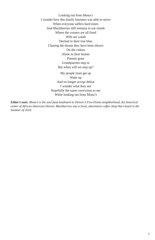Looking out from Mona's I wonder how this family business was able to strive When everyone suffers hard times And Blackberries still remains in our minds Where the corners are all lined With our youth Decked in their true blue Chasing the dream they have been shown On the videos Alone in their homes Parents gone Grandparents step in But when will we step up? My people must get up

Wake up And no longer accept defeat I wonder what they see Hopefully the same conviction as me While looking out from Mona's

*Editor's note: Mona's is the soul food landmark in Denver's Five-Points neighborhood, the historical center of African American Denver. Blackberries was a local, alternative coffee shop that closed in the Summer of 2010.*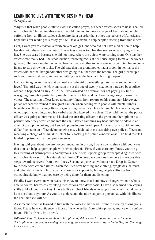# **Learning to Live with the Voices in My Head**

#### by Sayde Page

Why is it that when people talk to God it is called prayer, but when voices speak to us it is called schizophrenia? In reading this essay, I would like you to have a change of heart about people suffering from an illness called schizophrenia, a disorder that strikes one percent of Americans. I hope that after reading this essay, you will take a stand to help people suffering from this illness.

First, I want you to envision a fourteen year old girl, one who did not have medication to help her deal with the voices she heard. The voices always told her that someone was trying to hurt her. She was scared because she did not know where the voices were coming from. One day her voices were really bad. She stood outside, throwing rocks at her house, trying to make the voices go away. Her grandmother, who had been a loving mother to her, came outside to tell her to come in and to stop throwing rocks. The girl saw that her grandmother had a broom in her hand; the voices told her that her grandmother was going to hit her with the broom. The girl picked up a rock and threw it at her grandmother, hitting her in the head and busting it open.

Can you imagine an illness that can make a little girl do something like that to someone she loves? That girl was me. Now envision me at the age of twenty-six, being harassed by a police officer. It happened on July 29, 2005. I was arrested on a warrant for not paying my fine. I was going through a particularly rough time in my life, and had been using drugs to ease my voices. The arresting officer knew about my illness from reports on his computer. Moreover, police officers are trained to use great caution when dealing with people with mental illness. Nonetheless, the arresting officer began calling me names: He called me *bitch*, *crack head*, and other unprintable things, and his verbal assault triggered my voices. They told me that the police officer was going to hurt me, so I kicked the arresting officer in the groin and then spit on his partner. After they wrestled me into the car, I started ramming my head into the window in an attempt to stop the voices, but I ended up busting my head open. An arrest for a stupid hundred dollar fine led to an officer dehumanizing me, which led to me assaulting two police officers and receiving a charge of criminal mischief for knocking the police window loose. The final result: I landed in prison with a four year sentence.

Having told you about how my voices landed me in prison, I want now to share with you ways that you can help support people with schizophrenia. First, if you share my illness, you can go to a meeting of Schizophrenia Anonymous, a self-help support group for people diagnosed with schizophrenia or schizophrenia-related illness. The group encourages members to take positive steps towards recovery from their illness. Second, anyone can volunteer at a Drop-in-Center for people with chronic illness. Such facilities offer housing and clothing, eyeglasses, haircuts, and other daily needs. Third, you can show your support by letting people suffering from schizophrenia know that you care by being there for them and listening.

Finally, I want everyone who reads this essay to know that I am now a changed woman who is able to control her voices by taking medications on a daily basis. I have also learned new coping skills to block out my voices. I have built a circle of friends who support me when I am down, so I am not alone anymore. As you can understand, the more support a person has with this illness, the healthier she will be.

As someone who has learned to live with the voices in her head, I want to close by asking you a favor: Please have confidence in those of us who suffer from schizophrenia, and we will confide in you. Find a friend, be a friend.

*Editorial Note: To learn more about schizophrenia, visit www.schizophrenia.com; to locate a Schizophrenia Anonymous meeting near you, go to www.sanonymous.org; to find a Drop-in-Center, go to www.charg.org.*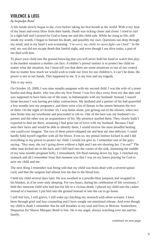# **Violence & Loss**

#### by Jacquelyn Bond

A life inside slowly began to die, even before taking his first breath in the world. With every beat of my heart and every blow from their hands, Death was ticking closer and closer. I tried to curl in a tight ball and I prayed for God to keep me and this child safe. While he clung to life, still inside my womb, I began to foresee his death, and possibly my own. Questions ran deep through my mind, and in my heart I was screaming *"I'm sorry, my child, no more fight can I find!"* In the end, my son did not escape death that fateful night, and even though I am alive today, a part of me died with him.

To place your child into the ground knowing that you will never hold his hand or watch him play is the hardest situation a mother can face. A mother's primal instinct is to protect her child no matter what the situation, but I must tell you that there are some situations so out of our control that no matter how much we would wish to trade our lives for our children's, it can't be done, the power is not in our hands. This happened to me. It is my loss and my tragedy.

This is my story.

On October 10, 2009, I was nine months pregnant with my second child. I was the wife of a street hustler and drug dealer, who was also my best friend. I was five days away from my due date and was supposed to have been out of the state, in Indianapolis with my husband. Instead, I stayed home because I was having pre-labor contractions. My husband and a partner of his had quarreled a few months into my pregnancy, and there were a lot of threats in the streets between the two of them. On the night of October 10, I was home alone, just getting out of the shower, when two men broke into my townhome and proceeded to rob us. One of the men was my husband's expartner and the other was an acquaintance of his. My presence startled them. They clearly hadn't expected to find me there, assuming I had gone out of town with my husband. Because I had seen their faces and would be able to identify them, I would receive the most dreadful beating one could ever imagine. The two of them pistol-whipped me and beat me into oblivion. I could hardly hold myself together with all the blows. Even so, my primal instinct kicked in and I did everything in my power to protect my child. I would not give in. I remember one of the guys saying, "Hey man, she isn't going down without a fight and I am not shooting her. I'm out!" The other man kicked me in the back and I fell hard into the corner of the sink, slamming the middle of my nine months pregnant belly. I immediately felt fluid running down my legs. I clutched my stomach and all I remember from that moment was that I was on my knees praying for God to save my child and me.

The next thing I remember was being told that my child was brain dead with a severed spinal cord, and that the surgeon had almost lost me due to the blood loss.

I held my child several days later. He was swathed in a powder-blue jumpsuit and wrapped in his blanket, as if he were only sleeping. For two hours, during his celebration of life ceremony, I held this innocent child who had lost his life to a vicious death. I placed my child into the casket instead of a bassinet; I put him into the ground instead of into the car to go home.

I still feel loss, I still grieve, I still wake up clutching my stomach with silent screams. I have been through grief and loss counseling and I have sought out emotional release. And even though my child is dead, I remember that he still breathes in my soul and lives in Heaven. Somewhere, Dequarius Ke'Shawn Marques Bond is free. He is my angel, always watching over me and his family.

*continues on next page*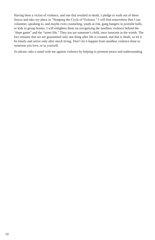Having been a victim of violence, and one that resulted in death, I pledge to walk out of these fences and take my place in "Stopping the Cycle of Violence." I will find somewhere that I can volunteer, speaking to, and maybe even counseling, youth at risk, gang bangers in juvenile halls, or kids in group homes. I will enlighten them on recognizing the needless violence behind the "dope game" and the "street life." They too are someone's child, once innocent in the womb. The fact remains that we are guaranteed only one thing after life is created, and that is death, so let it be timely and arrive only after much living. Don't let it happen from needless violence done to someone you love, or to yourself.

So please, take a stand with me against violence by helping to promote peace and understanding.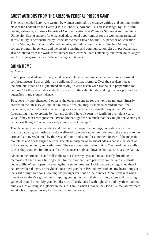# **Guest Authors from the Arizona Federal Prison Camp**

The texts included here were written by women enrolled in a creative writing and communication class at the Federal Prison Camp (FPC) in Phoenix, Arizona. This class is taught by Dr. Kristin Bervig Valentine, Professor Emerita of Communication and Women's Studies at Arizona State University. Strong support for enhanced educational opportunities for the women incarcerated at this facility is demonstrated by Associate Warden Steven Southall, Supervisor of Education Karrie Martin, Unit Director Michael Jenkins, and Education Specialist Stephen McVey. The college program in general, and the creative writing and communication class in particular, has also benefitted from the work of volunteers from Arizona State University and from Heidi Jaeger and Dr. Jo Jorgensen at Rio Salado College in Phoenix.

# **Going Home**

#### by Twila D.

I pull open the shade next to my window seat. Outside the rain pelts the pane like a thousand confused insects. I am as giddy as a child on Christmas morning. Over the speakers I hear the officious voice of a flight attendant saying "please fasten your seat belts in preparation for landing." As the aircraft descends, the pressure in the cabin builds, making my ears pop and the butterflies in my stomach dance.

To relieve my apprehension, I observe the other passengers for the next few minutes. Smartly dressed in the latest styles, and in a rainbow of colors, they all look so confident that I feel inadequate, as I am dressed in a pair of gray sweatpants and an equally gray t-shirt. With no forewarning, I am overcome by fear and doubt. I haven't seen my family in over eight years. What if they don't recognize me? Prison life has aged me so much that they might not. Worse yet is the next thought: "What if nobody comes to pick me up?"

The plane lands without incident and I gather my meager belongings, consisting only of a scantily packed gray mesh bag and a well-read paperback novel. As I de-board the plane onto the tarmac, I am overwhelmed by the sense of home and stand for a moment in awe of the majestic mountains and dense rugged terrain. The clean crisp air of southeast Alaska carries the scent of Sitka spruce, hemlock, and cedar trees. The sea spray tastes salmon rich. Overhead the seagulls caw as they compete for airspace. In the distance a tugboat blows its horn as it leaves the harbor.

Alone on the tarmac, I stand still in the rain. I close my eyes and inhale deeply, breathing in memories of such a long time ago that, for the moment, I am perfectly content and my spirits begin to lift. When I open my eyes again, I see my brothers, looking more distinguished than I had remembered them, or maybe it's just their gray hair. Behind my brothers, my heart jumps at the sight of my three sons, looking like younger versions of their uncles. Mere teenagers when I went away, they've grown into strapping young men with their charming wives and offspring gathered around them. My grandchildren are all dark haired with light skin and mystic cloudless blue eyes, as alluring as a glacier in the sun. I smile when I realize they look like me; all my fears and doubts disappear as my family welcomes me home.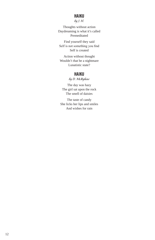## **Haiku**

by J. H.

Thoughts without action Daydreaming is what it's called Premeditated

Find yourself they said Self is not something you find Self is created

Action without thought Wouldn't that be a nightmare Lunatistic state?

## **Haiku**

by D. McRyhew

The day was hazy The girl sat upon the rock The smell of daisies

The taste of candy She licks her lips and smiles And wishes for rain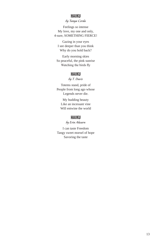## **Haiku**

#### by Tanya Cerda

Feelings so intense My love, my one and only, 4-sure, SOMETHING FIERCE!

Gazing in your eyes I see deeper than you think Why do you hold back?

Early morning skies So peaceful, the pink sunrise Watching the birds fly

#### **Haiku**

by T. Davis

Totems stand, pride of People from long ago whose Legends never die.

> My budding beauty Like an incessant vine Will entwine the world

## **Haiku**

by Erin Ahearn

I can taste Freedom Tangy sweet morsel of hope Savoring the taste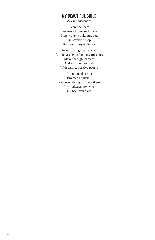## **My Beautiful Child**

by Laura Martinez

I can't be there Because of choices I made I knew they would hurt you But couldn't stop Because of my addiction

The only thing I can ask you Is to please learn from my mistakes Make the right choices And surround yourself With caring, positive people

I'm not mad at you I'm mad at myself And even though I'm not there I will always love you my beautiful child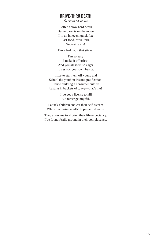## **Drive-Thru Death**

by Anita Montoya

I offer a slow hard death But to parents on the move I'm an innocent quick fix: Fast food, drive-thru, Supersize me!

I'm a bad habit that sticks.

I'm so easy I make it effortless And you all seem so eager to destroy your own hearts.

I like to start 'em off young and School the youth in instant gratification, Hence building a consumer culture basting in buckets of gravy—that's me!

> I've got a license to kill But never get my fill.

I attack children and eat their self-esteem While devouring adults' hopes and dreams.

They allow me to shorten their life expectancy. I've found fertile ground in their complacency.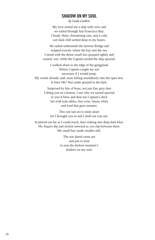## **Shadow On My Soul**

by Linda Guthrie

My love rented me a ship with crew and we sailed through San Francisco Bay. Cloudy Skies, threatening rain, and a cold, wet dark chill settled deep in my bones.

We sailed underneath the famous Bridge and stopped exactly where the bay met the sea. I stood with the dense small box grasped tightly and waited, wet, while the Captain turned the ship upwind.

I walked alone to the edge of the gangplank Where Captain caught my eye uncertain if I would jump. My words already said, tears falling soundlessly into the open box.

Is here OK? Not under ground in the dark.

Surprised by bits of bone, not just fine grey dust Lifting you on a breeze, I see why we turned upwind or you'd blow and dust our Captain's deck Set with teak tables, fine wine, linens white and food that goes uneaten.

This one last act is mine alone for I brought you in and I shall see you out.

Scattered out far as I could reach, then sinking into deep dark blue. My fingers dip and stretch outward as you slip between them. My small boy made smaller still.

> The sun dared come out and just in time to sear the darkest moment's shadow on my soul.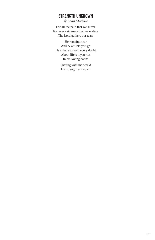## **Strength Unknown**

by Laura Martinez

For all the pain that we suffer For every sickness that we endure The Lord gathers our tears

He remains near And never lets you go He's there to hold every doubt About life's mysteries In his loving hands

> Sharing with the world His strength unknown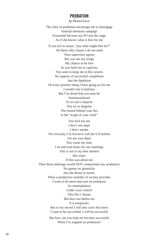## **Probation**

by Shontel Lewis

The rules of probation encourage me to disengage Internal emotions rampage Frustrated because my PO sets the stage As if she knows what is best for me

If you are so smart, "just what might that be?" All these silly classes I do not need Your supervisor agrees But you see my wings My chance to be free So you hold me in captivity You want to keep me in this system No support of successful completion Just the depletion Of every positive thing I have going on for me I would coin it jealousy But I'm afraid that you may be Institutionalized To no one's surprise You try to disguise The reason behind your lies in the "scope of your work"

You fool me not I don't use dope I don't smoke Yet everyday I'm forced to call the UA hotline On my own dime You waste my time I sit and wait hours for our meetings This is not in my best interest But yours If this was about me Then these meetings would NOT compromise my academics No games no gimmicks Just the desire to mimic What a productive member of society provides I want to be more than just on probation In contemplation Under your control This life I choose But does not define me It is temporary But in my record I will also carry this mess I want to be successful, I will be successful But how can you help me become successful When I'm trapped on probation?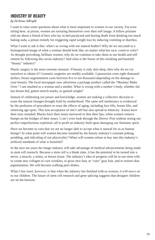# **Industry of Beauty**

#### by DeAnna Albright

I want to raise some questions about what is most important to women in our society. For even sitting here, in prison, women are torturing themselves over their self image. A fellow prisoner told me about a friend of hers who lay in bed paralyzed and fearing death from drinking too much baking soda, a prison remedy for triggering rapid weight loss by inducing vomiting or diarrhea.

What I want to ask is this: what's so wrong with our natural bodies? Why do we succumb to a homogenized image of what a woman should look like, no matter what her race, creed or color? As thought provoking, brilliant women, why do we continue to take shots at our health and self esteem by following this sexist industry? And what is the future of this insulting and harmful "beauty" industry?

Plastic surgery is the most extreme measure. If beauty is only skin deep, then why do we cut ourselves to obtain it? Cosmetic surgeries are readily available. Liposuction costs eight thousand dollars; breast augmentation costs between five to ten thousand (depending on the damage to your breast). The local newspaper now advertises a package product called the "Mommy Make Over." I am insulted as a woman and a mother. What is wrong with a mother's body, whether she has breast-fed, gotten stretch marks, or gained weight?

Instead of celebrating our power and knowledge, women are making a collective decision to erase the natural changes brought forth by motherhood. The same self intolerance is evidenced by the profusion of procedures to erase the effects of aging, including face lifts, breast lifts, and removing age spots. This non-acceptance of one's self has also spread to ethnicity: Asians have their eyes rounded; Blacks have their noses narrowed or thin their lips; white women remove bumps on the bridges of their noses. I can't even look through the *Denver Post* without seeing our perfect imperfections exploited--all to profit an industry built upon damaging our feminine spirit.

Have we become so vain that we are no longer able to accept what is natural for us as human beings? At what point will women become insulted by the beauty industry's constant poking, prodding, and ridiculing of our physicality? When will women refuse to buy into this industry's artificial standards of what is beautiful?

In the next ten years the image industry will take advantage of medical advancements being made in stem cell research. Because a stem cell is a blank slate, it has the potential to be turned into a nerve, a muscle, a retina, or breast tissue. The industry's idea of progress will be to use stem cells to create new collagen to cure wrinkles, to grow new hair, to "cure" gray hair, and to restore skin pigmentation. We will become walking petri dishes.

What I fear most, however, is that when the industry has finished with us women, it will move on to our children. The future of stem cell research and gene splicing suggests that designer children are on the horizon.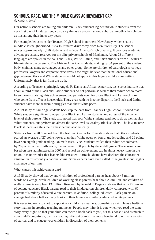# **Schools, Race, and the Middle Class Achievement Gap**

#### by Stella O'Neal

Our nation's schools are failing our children. Black students lag behind white students from the very first day of kindergarten, a disparity that is as evident among suburban middle class children as it is among their inner city peers.

For example, let us consider Teaneck High School in northern New Jersey, which sits in a middle class neighborhood just a 15 minutes drive away from New York City. The school serves approximately 1,350 students and reflects America's rich diversity. It provides academic advantages usually reserved for the elite private schools of Manhattan. About 28 different languages are spoken in the halls and Black, White, Latino, and Asian students from all walks of life mingle in the cafeteria. The African American students, making up 54 percent of the student body, claim as many advantages as any other group. Some are children of cardiologists, college professors, lawyers and corporate executives. One might believe that the national educational gap between Black and White students would not apply in this largely middle class setting. Unfortunately, that is far from the truth.

According to Teaneck's principal, Angela R. Davis, an African American, test scores indicate that about a third of the Black and Latino students do not perform as well as their White schoolmates. Even more surprising, this achievement gap persists even for those Black and Latino children who come from affluent households. Thus, even with no income disparity, the Black and Latino students have more academic struggles than their White peers.

A 2009 study of same age students backs up the data from Teaneck High School. It found that White students significantly outperform Black and Latino students, regardless of the income level of their parents. The study also noted that poor White students tend not to do as well as rich White students, but perform on almost the same level as wealthy Black students. The low-income Black students are thus the furthest behind academically.

Statistics from a 2009 report from the National Center for Education show that Black students scored an average of 27 points lower than their White peers on fourth grade reading and 26 points lower on eighth grade reading. On math tests, Black students trailed their White schoolmates by 26 points in the fourth grade; the gap rose to 31 points by the eighth grade. These results are based on tests administered in 2007 and reveal an achievement gap in almost every state in the union. It is no wonder that leaders like President Barrack Obama have declared the educational situation in this country a national crisis. Some experts have even called it the greatest civil rights challenge of our time.

#### What causes this achievement gap?

A 1995 study showed that by age 4, children of professional parents hear about 45 million words on average, while children of working class parents hear about 26 million, and children of welfare parents only hear 13 million. Research by Ronald F. Ferguson shows that only 47 percent of college-educated Black parents read to their kindergarten children daily, compared with 60 percent of similarly educated White parents. In addition, college-educated Black parents on average had about half as many books in their homes as similarly educated White parents.

It is never too early to start to support our children as learners. Something as simple as a bedtime story matters in creating teaching moments. People may think it is cute when you read the same story every night, so that your child can recite a book back to you, but this doesn't add as much to your child's cognitive growth as reading different books. It is more beneficial to utilize a variety of stories, and to engage your children in discussion of their contents.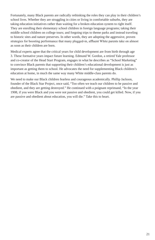Fortunately, many Black parents are radically rethinking the roles they can play in their children's school lives. Whether they are struggling in cities or living in comfortable suburbs, they are taking education initiatives rather than waiting for a broken education system to right itself. They are enrolling their elementary school children in foreign language programs; taking their middle school children on college tours; and forgoing trips to theme parks and instead traveling to historic sites and nature preserves. In other words, they are adopting the aggressive, proven strategies for boosting performance that many plugged-in, affluent White parents take on almost as soon as their children are born.

Medical experts agree that the critical years for child development are from birth through age 3. These formative years impact future learning. Edmund W. Gordon, a retired Yale professor and co-creator of the Head Start Program, engages in what he describes as "School Marketing" to convince Black parents that supporting their children's educational development is just as important as getting them to school. He advocates the need for supplementing Black children's education at home, in much the same way many White middle-class parents do.

We need to make our Black children fearless and courageous academically. Phillip Jackson, founder of the Black Star Project, once said, "Too often we teach our children to be passive and obedient, and they are getting destroyed." He continued with a poignant reprimand, "In the year 1908, if you were Black and you were not passive and obedient, you could get killed. Now, if you are passive and obedient about education, you will die." Take this to heart.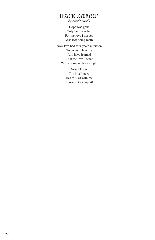# **I Have to Love Myself**

by April Murphy

Hope was gone Only faith was left For the love I needed Was lost doing meth

Now I've had four years in prison To contemplate life And have learned That the love I want Won't come without a fight

> Now I know The love I need Has to start with me *I have to love myself*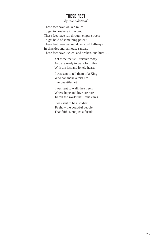# **These Feet**

by Tina Olmstead

These feet have walked miles To get to nowhere important These feet have run through empty streets To get hold of something potent These feet have walked down cold hallways In shackles and jailhouse sandals These feet have kicked, and broken, and hurt . . .

> Yet these feet still survive today And are ready to walk for miles With the lost and lonely hearts

> I was sent to tell them of a King Who can make a torn life Into beautiful art

I was sent to walk the streets Where hope and love are rare To tell the world that Jesus cares

I was sent to be a soldier To show the doubtful people That faith is not just a façade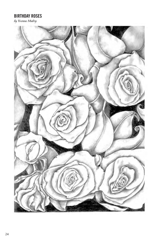# **Birthday Roses**

by Yvonne Mabry

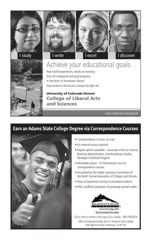









# Achieve your educational goals

Real-world experiences, hands-on learning Over 40 undergrad and grad programs In the heart of downtown Denver Easy access to the Auraria campus by light rail

# University of Colorado Denver College of Liberal Arts and Sciences

clas.cudenver.edu/goals

# **Earn an Adams State College Degree via Correspondence Courses**



- Correspondence Courses via mail
- No internet access required
- Degree options available Associate of Arts or Science, Business Administration, Interdisciplinary Studies, Paralegal Certificate Program
- Affordable tuition \$150/semester hour for correspondence courses
- Accredited by the Higher Learning Commission of the North Central Association of Colleges and Schools
- Years of experience serving incarcerated students
- FREE unofficial evaluation of previously earned credits



Call or write to receive a free copy of our catalog – 800-548-6679

Office of Extended Studies, Box CC • Adams State College 208 Edgemont Blvd. • Alamosa, CO 81102